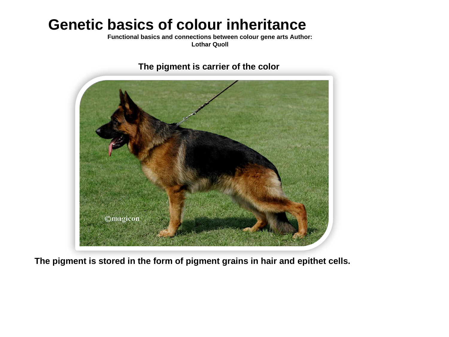# **Genetic basics of colour inheritance**

**Functional basics and connections between colour gene arts Author: Lothar Quoll**

**The pigment is carrier of the color**



**The pigment is stored in the form of pigment grains in hair and epithet cells.**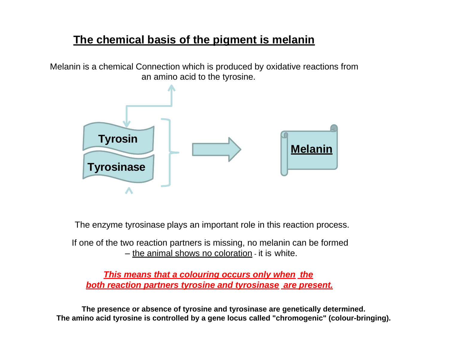## **The chemical basis of the pigment is melanin**

Melanin is a chemical Connection which is produced by oxidative reactions from an amino acid to the tyrosine.



The enzyme tyrosinase plays an important role in this reaction process.

If one of the two reaction partners is missing, no melanin can be formed – the animal shows no coloration - it is white.

*This means that a colouring occurs only when the both reaction partners tyrosine and tyrosinase are present.*

**The presence or absence of tyrosine and tyrosinase are genetically determined. The amino acid tyrosine is controlled by a gene locus called "chromogenic" (colour-bringing).**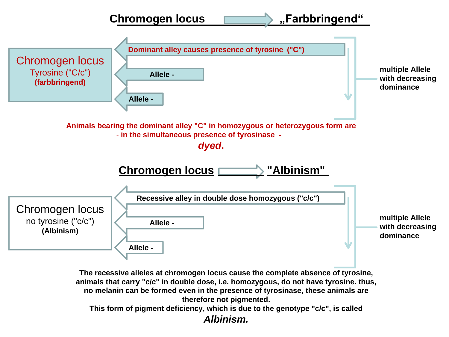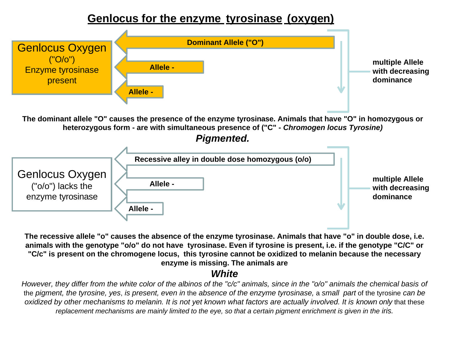#### **Genlocus for the enzyme tyrosinase (oxygen)**



**The recessive allele "o" causes the absence of the enzyme tyrosinase. Animals that have "o" in double dose, i.e. animals with the genotype "o/o" do not have tyrosinase. Even if tyrosine is present, i.e. if the genotype "C/C" or "C/c" is present on the chromogene locus, this tyrosine cannot be oxidized to melanin because the necessary enzyme is missing. The animals are**

#### *White*

*However, they differ from the white color of the albinos of the "c/c" animals, since in the "o/o" animals the chemical basis of* the *pigment, the tyrosine, yes*, *is present, even in* the *absence of the enzyme tyrosinase,* a *small part* of the tyrosine *can be*  oxidized by other mechanisms to melanin. It is not yet known what factors are actually involved. It is known only that these *replacement mechanisms are mainly limited to the eye, so that a certain pigment enrichment is given in the iris.*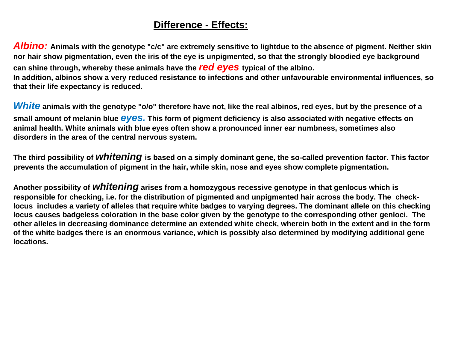#### **Difference - Effects:**

*Albino:* **Animals with the genotype "c/c" are extremely sensitive to lightdue to the absence of pigment. Neither skin nor hair show pigmentation, even the iris of the eye is unpigmented, so that the strongly bloodied eye background can shine through, whereby these animals have the** *red eyes* **typical of the albino. In addition, albinos show a very reduced resistance to infections and other unfavourable environmental influences, so that their life expectancy is reduced.**

*White* **animals with the genotype "o/o" therefore have not, like the real albinos, red eyes, but by the presence of a small amount of melanin blue** *eyes.* **This form of pigment deficiency is also associated with negative effects on animal health. White animals with blue eyes often show a pronounced inner ear numbness, sometimes also disorders in the area of the central nervous system.**

**The third possibility of** *whitening* **is based on a simply dominant gene, the so-called prevention factor. This factor prevents the accumulation of pigment in the hair, while skin, nose and eyes show complete pigmentation.**

**Another possibility of** *whitening* **arises from a homozygous recessive genotype in that genlocus which is responsible for checking, i.e. for the distribution of pigmented and unpigmented hair across the body. The checklocus includes a variety of alleles that require white badges to varying degrees. The dominant allele on this checking locus causes badgeless coloration in the base color given by the genotype to the corresponding other genloci. The other alleles in decreasing dominance determine an extended white check, wherein both in the extent and in the form of the white badges there is an enormous variance, which is possibly also determined by modifying additional gene locations.**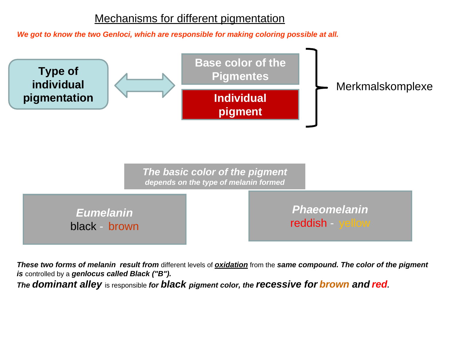#### Mechanisms for different pigmentation

*We got to know the two Genloci, which are responsible for making coloring possible at all.*



*These two forms of melanin result from* different levels of *oxidation* from the *same compound. The color of the pigment is* controlled by a *genlocus called Black ("B").*

*The dominant alley* is responsible *for black pigment color, the recessive for brown and red.*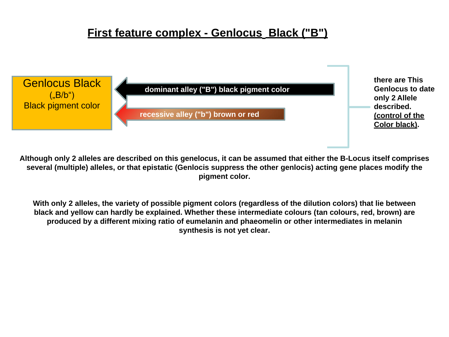#### **First feature complex - Genlocus Black ("B")**



**Although only 2 alleles are described on this genelocus, it can be assumed that either the B-Locus itself comprises several (multiple) alleles, or that epistatic (Genlocis suppress the other genlocis) acting gene places modify the pigment color.**

**With only 2 alleles, the variety of possible pigment colors (regardless of the dilution colors) that lie between black and yellow can hardly be explained. Whether these intermediate colours (tan colours, red, brown) are produced by a different mixing ratio of eumelanin and phaeomelin or other intermediates in melanin synthesis is not yet clear.**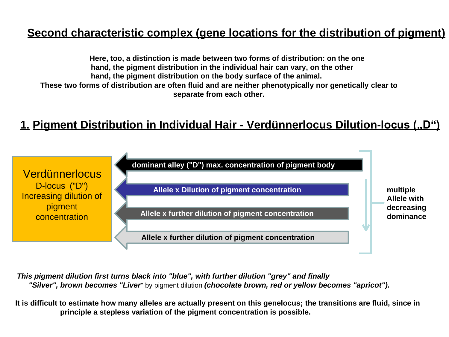## **Second characteristic complex (gene locations for the distribution of pigment)**

**Here, too, a distinction is made between two forms of distribution: on the one hand, the pigment distribution in the individual hair can vary, on the other hand, the pigment distribution on the body surface of the animal. These two forms of distribution are often fluid and are neither phenotypically nor genetically clear to separate from each other.**

## **1. Pigment Distribution in Individual Hair - Verdünnerlocus Dilution-locus ("D")**



*This pigment dilution first turns black into "blue", with further dilution "grey" and finally "Silver", brown becomes "Liver*" by pigment dilution *(chocolate brown, red or yellow becomes "apricot").*

**It is difficult to estimate how many alleles are actually present on this genelocus; the transitions are fluid, since in principle a stepless variation of the pigment concentration is possible.**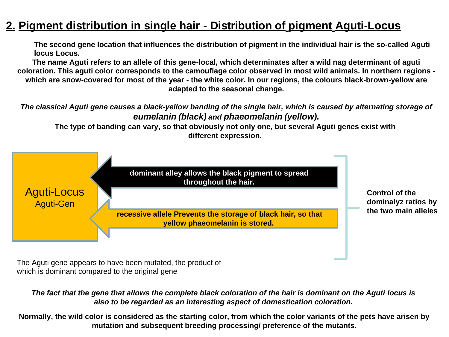#### **2. Pigment distribution in single hair - Distribution of pigment Aguti-Locus**

**The second gene location that influences the distribution of pigment in the individual hair is the so-called Aguti locus Locus.**

**The name Aguti refers to an allele of this gene-local, which determinates after a wild nag determinant of aguti coloration. This aguti color corresponds to the camouflage color observed in most wild animals. In northern regions which are snow-covered for most of the year - the white color. In our regions, the colours black-brown-yellow are adapted to the seasonal change.**

*The classical Aguti gene causes a black-yellow banding of the single hair, which is caused by alternating storage of eumelanin (black) and phaeomelanin (yellow).* 

**The type of banding can vary, so that obviously not only one, but several Aguti genes exist with different expression.**



The Aguti gene appears to have been mutated, the product of which is dominant compared to the original gene

*The fact that the gene that allows the complete black coloration of the hair is dominant on the Aguti locus is also to be regarded as an interesting aspect of domestication coloration.*

**Normally, the wild color is considered as the starting color, from which the color variants of the pets have arisen by mutation and subsequent breeding processing/ preference of the mutants.**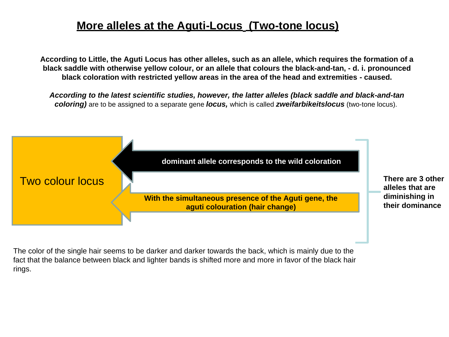#### **More alleles at the Aguti-Locus (Two-tone locus)**

**According to Little, the Aguti Locus has other alleles, such as an allele, which requires the formation of a black saddle with otherwise yellow colour, or an allele that colours the black-and-tan, - d. i. pronounced black coloration with restricted yellow areas in the area of the head and extremities - caused.**

*According to the latest scientific studies, however, the latter alleles (black saddle and black-and-tan coloring)* are to be assigned to a separate gene *locus,* which is called *zweifarbikeitslocus* (two-tone locus).



The color of the single hair seems to be darker and darker towards the back, which is mainly due to the fact that the balance between black and lighter bands is shifted more and more in favor of the black hair rings.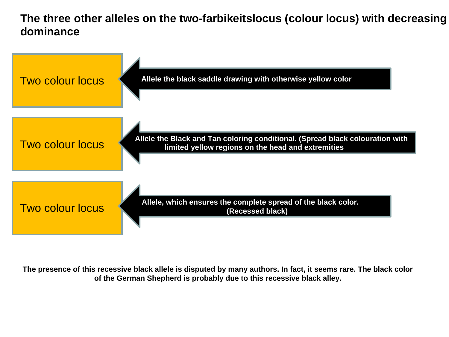**The three other alleles on the two-farbikeitslocus (colour locus) with decreasing dominance**



**The presence of this recessive black allele is disputed by many authors. In fact, it seems rare. The black color of the German Shepherd is probably due to this recessive black alley.**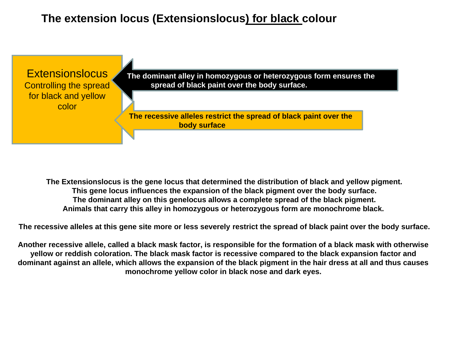#### **The extension locus (Extensionslocus) for black colour**



**The Extensionslocus is the gene locus that determined the distribution of black and yellow pigment. This gene locus influences the expansion of the black pigment over the body surface. The dominant alley on this genelocus allows a complete spread of the black pigment. Animals that carry this alley in homozygous or heterozygous form are monochrome black.**

**The recessive alleles at this gene site more or less severely restrict the spread of black paint over the body surface.**

**Another recessive allele, called a black mask factor, is responsible for the formation of a black mask with otherwise yellow or reddish coloration. The black mask factor is recessive compared to the black expansion factor and dominant against an allele, which allows the expansion of the black pigment in the hair dress at all and thus causes monochrome yellow color in black nose and dark eyes.**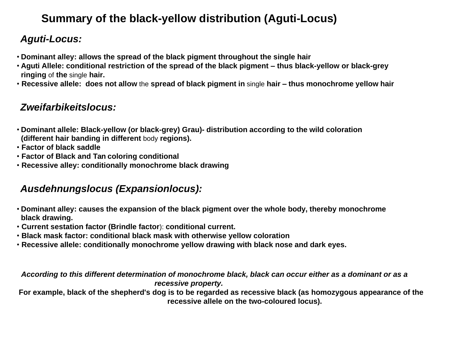# **Summary of the black-yellow distribution (Aguti-Locus)**

## *Aguti-Locus:*

- **Dominant alley: allows the spread of the black pigment throughout the single hair**
- **Aguti Allele: conditional restriction of the spread of the black pigment – thus black-yellow or black-grey ringing** of **the** single **hair.**
- **Recessive allele: does not allow** the **spread of black pigment in** single **hair – thus monochrome yellow hair**

#### *Zweifarbikeitslocus:*

- **Dominant allele: Black-yellow (or black-grey) Grau)- distribution according to the wild coloration (different hair banding in different** body **regions).**
- **Factor of black saddle**
- **Factor of Black and Tan coloring conditional**
- **Recessive alley: conditionally monochrome black drawing**

#### *Ausdehnungslocus (Expansionlocus):*

- **Dominant alley: causes the expansion of the black pigment over the whole body, thereby monochrome black drawing.**
- **Current sestation factor (Brindle factor**): **conditional current.**
- **Black mask factor: conditional black mask with otherwise yellow coloration**
- **Recessive allele: conditionally monochrome yellow drawing with black nose and dark eyes.**

*According to this different determination of monochrome black, black can occur either as a dominant or as a recessive property.*

**For example, black of the shepherd's dog is to be regarded as recessive black (as homozygous appearance of the recessive allele on the two-coloured locus).**